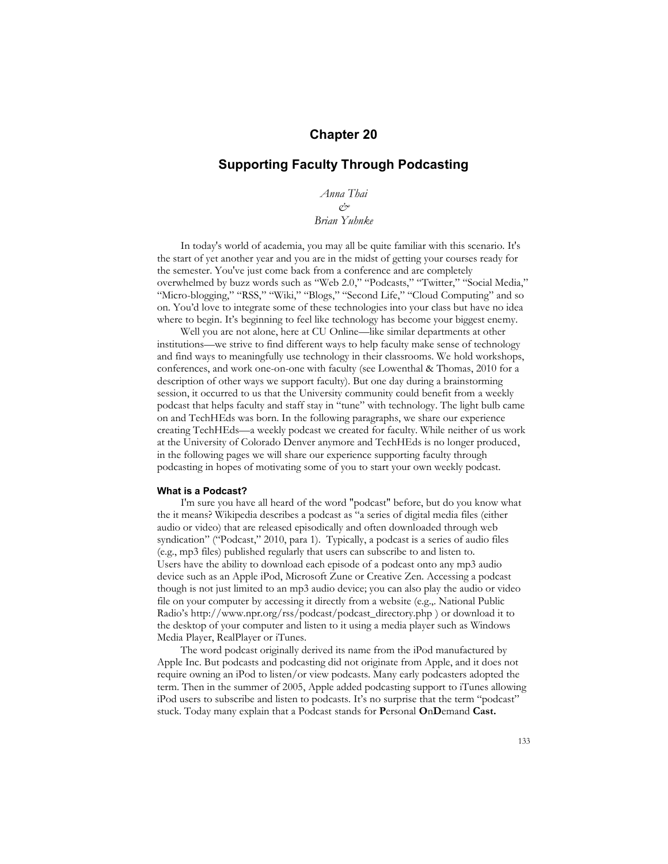# **Chapter 20**

# **Supporting Faculty Through Podcasting**

*Anna Thai*  $\varphi$ <sup>2</sup>

*Brian Yuhnke*

In today's world of academia, you may all be quite familiar with this scenario. It's the start of yet another year and you are in the midst of getting your courses ready for the semester. You've just come back from a conference and are completely overwhelmed by buzz words such as "Web 2.0," "Podcasts," "Twitter," "Social Media," "Micro-blogging," "RSS," "Wiki," "Blogs," "Second Life," "Cloud Computing" and so on. You'd love to integrate some of these technologies into your class but have no idea where to begin. It's beginning to feel like technology has become your biggest enemy.

Well you are not alone, here at CU Online—like similar departments at other institutions—we strive to find different ways to help faculty make sense of technology and find ways to meaningfully use technology in their classrooms. We hold workshops, conferences, and work one-on-one with faculty (see Lowenthal & Thomas, 2010 for a description of other ways we support faculty). But one day during a brainstorming session, it occurred to us that the University community could benefit from a weekly podcast that helps faculty and staff stay in "tune" with technology. The light bulb came on and TechHEds was born. In the following paragraphs, we share our experience creating TechHEds—a weekly podcast we created for faculty. While neither of us work at the University of Colorado Denver anymore and TechHEds is no longer produced, in the following pages we will share our experience supporting faculty through podcasting in hopes of motivating some of you to start your own weekly podcast.

### **What is a Podcast?**

I'm sure you have all heard of the word "podcast" before, but do you know what the it means? Wikipedia describes a podcast as "a series of digital media files (either audio or video) that are released episodically and often downloaded through web syndication" ("Podcast," 2010, para 1). Typically, a podcast is a series of audio files (e.g., mp3 files) published regularly that users can subscribe to and listen to. Users have the ability to download each episode of a podcast onto any mp3 audio device such as an Apple iPod, Microsoft Zune or Creative Zen. Accessing a podcast though is not just limited to an mp3 audio device; you can also play the audio or video file on your computer by accessing it directly from a website (e.g.,. National Public Radio's http://www.npr.org/rss/podcast/podcast\_directory.php ) or download it to the desktop of your computer and listen to it using a media player such as Windows Media Player, RealPlayer or iTunes.

The word podcast originally derived its name from the iPod manufactured by Apple Inc. But podcasts and podcasting did not originate from Apple, and it does not require owning an iPod to listen/or view podcasts. Many early podcasters adopted the term. Then in the summer of 2005, Apple added podcasting support to iTunes allowing iPod users to subscribe and listen to podcasts. It's no surprise that the term "podcast" stuck. Today many explain that a Podcast stands for **P**ersonal **O**n**D**emand **Cast.**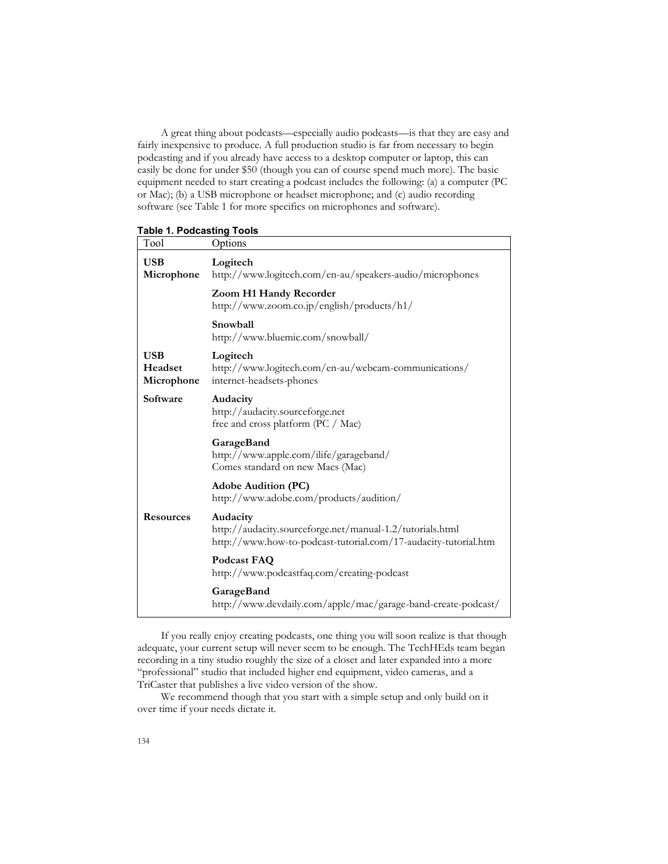A great thing about podcasts—especially audio podcasts—is that they are easy and fairly inexpensive to produce. A full production studio is far from necessary to begin podcasting and if you already have access to a desktop computer or laptop, this can easily be done for under \$50 (though you can of course spend much more). The basic equipment needed to start creating a podcast includes the following: (a) a computer (PC or Mac); (b) a USB microphone or headset microphone; and (c) audio recording software (see Table 1 for more specifics on microphones and software).

## **Table 1. Podcasting Tools**

| Tool                                | Options                                                                                                                                  |
|-------------------------------------|------------------------------------------------------------------------------------------------------------------------------------------|
| <b>USB</b><br>Microphone            | Logitech<br>http://www.logitech.com/en-au/speakers-audio/microphones                                                                     |
|                                     | Zoom H1 Handy Recorder<br>http://www.zoom.co.jp/english/products/h1/                                                                     |
|                                     | Snowball<br>http://www.bluemic.com/snowball/                                                                                             |
| <b>USB</b><br>Headset<br>Microphone | Logitech<br>http://www.logitech.com/en-au/webcam-communications/<br>internet-headsets-phones                                             |
| Software                            | Audacity<br>http://audacity.sourceforge.net<br>free and cross platform (PC / Mac)                                                        |
|                                     | GarageBand<br>http://www.apple.com/ilife/garageband/<br>Comes standard on new Macs (Mac)                                                 |
|                                     | <b>Adobe Audition (PC)</b><br>http://www.adobe.com/products/audition/                                                                    |
| <b>Resources</b>                    | Audacity<br>http://audacity.sourceforge.net/manual-1.2/tutorials.html<br>http://www.how-to-podcast-tutorial.com/17-audacity-tutorial.htm |
|                                     | Podcast FAQ<br>http://www.podcastfaq.com/creating-podcast                                                                                |
|                                     | GarageBand<br>http://www.devdaily.com/apple/mac/garage-band-create-podcast/                                                              |

If you really enjoy creating podcasts, one thing you will soon realize is that though adequate, your current setup will never seem to be enough. The TechHEds team began recording in a tiny studio roughly the size of a closet and later expanded into a more "professional" studio that included higher end equipment, video cameras, and a TriCaster that publishes a live video version of the show.

We recommend though that you start with a simple setup and only build on it over time if your needs dictate it.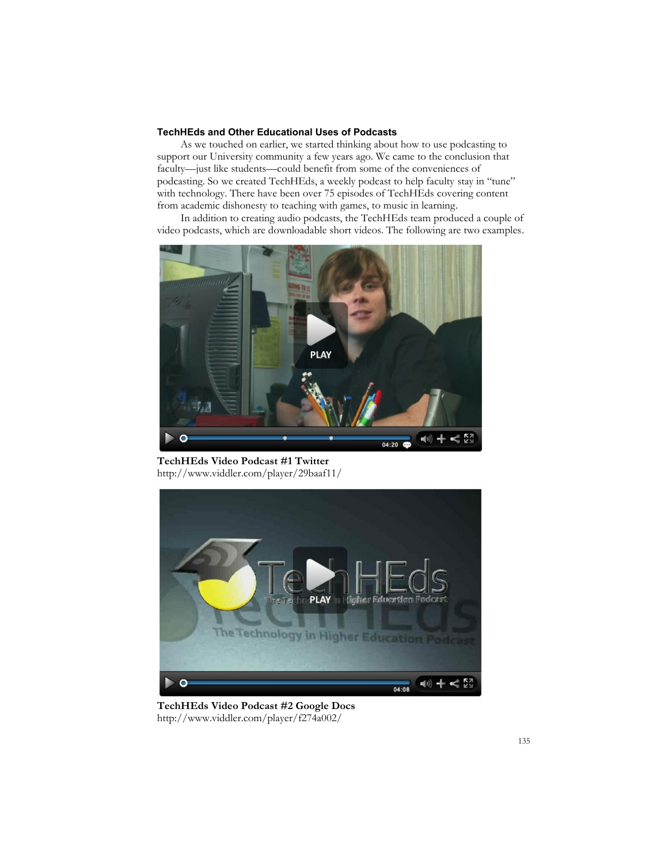# **TechHEds and Other Educational Uses of Podcasts**

As we touched on earlier, we started thinking about how to use podcasting to support our University community a few years ago. We came to the conclusion that faculty—just like students—could benefit from some of the conveniences of podcasting. So we created TechHEds, a weekly podcast to help faculty stay in "tune" with technology. There have been over 75 episodes of TechHEds covering content from academic dishonesty to teaching with games, to music in learning.

In addition to creating audio podcasts, the TechHEds team produced a couple of video podcasts, which are downloadable short videos. The following are two examples.



**TechHEds Video Podcast #1 Twitter** http://www.viddler.com/player/29baaf11/



**TechHEds Video Podcast #2 Google Docs** http://www.viddler.com/player/f274a002/